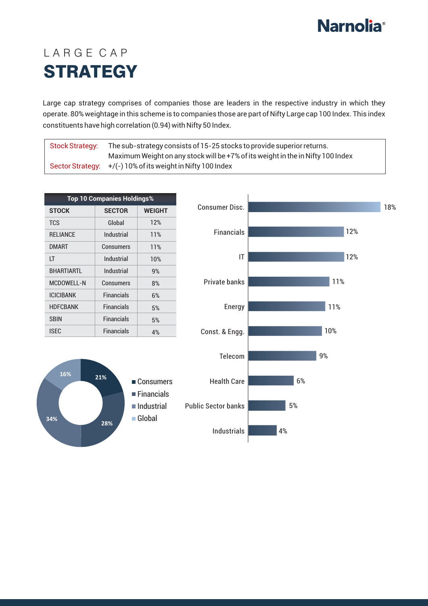## **Narnolia®**

## L A R G E C A P **STRATEGY**

Large cap strategy comprises of companies those are leaders in the respective industry in which they operate. 80% weightage in this scheme is to companies those are part of Nifty Large cap 100 Index. This index constituents have high correlation (0.94) with Nifty 50 Index.

| <b>Stock Strategy:</b> | The sub-strategy consists of 15-25 stocks to provide superior returns.          |
|------------------------|---------------------------------------------------------------------------------|
|                        | Maximum Weight on any stock will be +7% of its weight in the in Nifty 100 Index |
|                        | Sector Strategy: $+/(-)$ 10% of its weight in Nifty 100 Index                   |

| <b>Top 10 Companies Holdings%</b> |                   |               |  |  |
|-----------------------------------|-------------------|---------------|--|--|
| <b>STOCK</b>                      | <b>SECTOR</b>     | <b>WEIGHT</b> |  |  |
| <b>TCS</b>                        | Global            | 12%           |  |  |
| <b>RELIANCE</b>                   | Industrial        | 11%           |  |  |
| <b>DMART</b>                      | Consumers         | 11%           |  |  |
| ΙT                                | Industrial        | 10%           |  |  |
| <b>BHARTIARTI</b>                 | Industrial        | 9%            |  |  |
| <b>MCDOWELL-N</b>                 | Consumers         | 8%            |  |  |
| <b>ICICIBANK</b>                  | <b>Financials</b> | 6%            |  |  |
| <b>HDFCBANK</b>                   | <b>Financials</b> | 5%            |  |  |
| <b>SBIN</b>                       | <b>Financials</b> | 5%            |  |  |
| <b>ISEC</b>                       | <b>Financials</b> | 4%            |  |  |